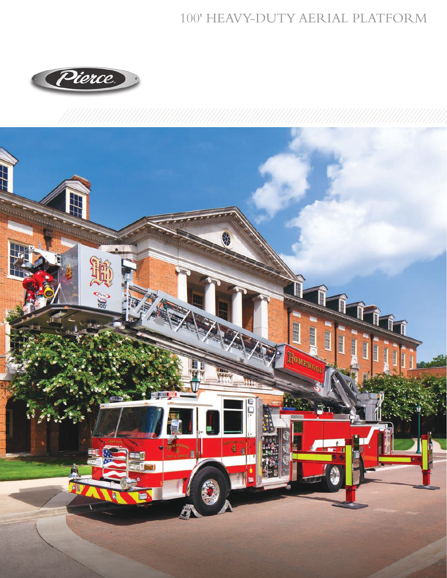## 100' HEAVY-DUTY AERIAL PLATFORM